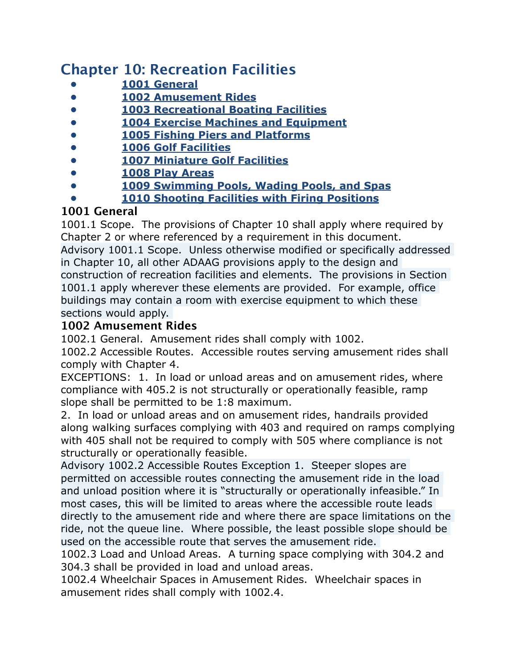## **Chapter 10: Recreation Facilities**

- **• 1001 General**
- **• 1002 Amusement Rides**
- **• 1003 Recreational Boating Facilities**
- **• 1004 Exercise Machines and Equipment**
- **• 1005 Fishing Piers and Platforms**
- **• 1006 Golf Facilities**
- **• 1007 Miniature Golf Facilities**
- **• 1008 Play Areas**
- **• 1009 Swimming Pools, Wading Pools, and Spas**
- **• 1010 Shooting Facilities with Firing Positions**

## **1001 General**

1001.1 Scope. The provisions of Chapter 10 shall apply where required by Chapter 2 or where referenced by a requirement in this document. Advisory 1001.1 Scope. Unless otherwise modified or specifically addressed in Chapter 10, all other ADAAG provisions apply to the design and construction of recreation facilities and elements. The provisions in Section 1001.1 apply wherever these elements are provided. For example, office buildings may contain a room with exercise equipment to which these sections would apply.

## **1002 Amusement Rides**

1002.1 General. Amusement rides shall comply with 1002.

1002.2 Accessible Routes. Accessible routes serving amusement rides shall comply with Chapter 4.

EXCEPTIONS: 1. In load or unload areas and on amusement rides, where compliance with 405.2 is not structurally or operationally feasible, ramp slope shall be permitted to be 1:8 maximum.

2. In load or unload areas and on amusement rides, handrails provided along walking surfaces complying with 403 and required on ramps complying with 405 shall not be required to comply with 505 where compliance is not structurally or operationally feasible.

Advisory 1002.2 Accessible Routes Exception 1. Steeper slopes are permitted on accessible routes connecting the amusement ride in the load and unload position where it is "structurally or operationally infeasible." In most cases, this will be limited to areas where the accessible route leads directly to the amusement ride and where there are space limitations on the ride, not the queue line. Where possible, the least possible slope should be used on the accessible route that serves the amusement ride.

1002.3 Load and Unload Areas. A turning space complying with 304.2 and 304.3 shall be provided in load and unload areas.

1002.4 Wheelchair Spaces in Amusement Rides. Wheelchair spaces in amusement rides shall comply with 1002.4.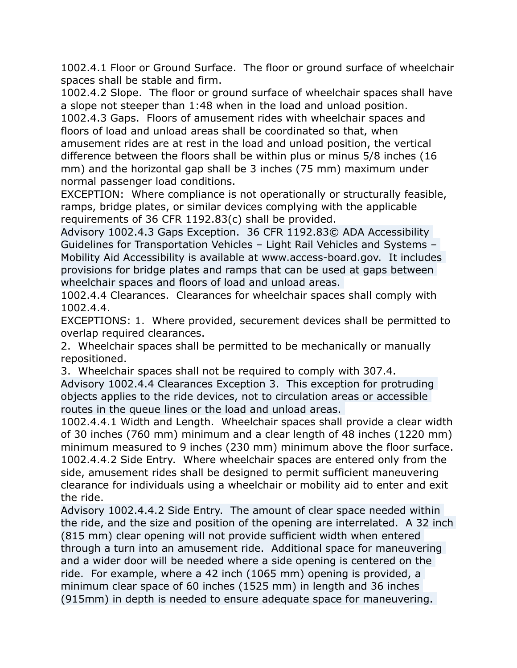1002.4.1 Floor or Ground Surface. The floor or ground surface of wheelchair spaces shall be stable and firm.

1002.4.2 Slope. The floor or ground surface of wheelchair spaces shall have a slope not steeper than 1:48 when in the load and unload position.

1002.4.3 Gaps. Floors of amusement rides with wheelchair spaces and floors of load and unload areas shall be coordinated so that, when amusement rides are at rest in the load and unload position, the vertical difference between the floors shall be within plus or minus 5/8 inches (16 mm) and the horizontal gap shall be 3 inches (75 mm) maximum under normal passenger load conditions.

EXCEPTION: Where compliance is not operationally or structurally feasible, ramps, bridge plates, or similar devices complying with the applicable requirements of 36 CFR 1192.83(c) shall be provided.

Advisory 1002.4.3 Gaps Exception. 36 CFR 1192.83© ADA Accessibility Guidelines for Transportation Vehicles – Light Rail Vehicles and Systems – Mobility Aid Accessibility is available at www.access-board.gov. It includes provisions for bridge plates and ramps that can be used at gaps between wheelchair spaces and floors of load and unload areas.

1002.4.4 Clearances. Clearances for wheelchair spaces shall comply with 1002.4.4.

EXCEPTIONS: 1. Where provided, securement devices shall be permitted to overlap required clearances.

2. Wheelchair spaces shall be permitted to be mechanically or manually repositioned.

3. Wheelchair spaces shall not be required to comply with 307.4.

Advisory 1002.4.4 Clearances Exception 3. This exception for protruding objects applies to the ride devices, not to circulation areas or accessible routes in the queue lines or the load and unload areas.

1002.4.4.1 Width and Length. Wheelchair spaces shall provide a clear width of 30 inches (760 mm) minimum and a clear length of 48 inches (1220 mm) minimum measured to 9 inches (230 mm) minimum above the floor surface. 1002.4.4.2 Side Entry. Where wheelchair spaces are entered only from the side, amusement rides shall be designed to permit sufficient maneuvering clearance for individuals using a wheelchair or mobility aid to enter and exit the ride.

Advisory 1002.4.4.2 Side Entry. The amount of clear space needed within the ride, and the size and position of the opening are interrelated. A 32 inch (815 mm) clear opening will not provide sufficient width when entered through a turn into an amusement ride. Additional space for maneuvering and a wider door will be needed where a side opening is centered on the ride. For example, where a 42 inch (1065 mm) opening is provided, a minimum clear space of 60 inches (1525 mm) in length and 36 inches (915mm) in depth is needed to ensure adequate space for maneuvering.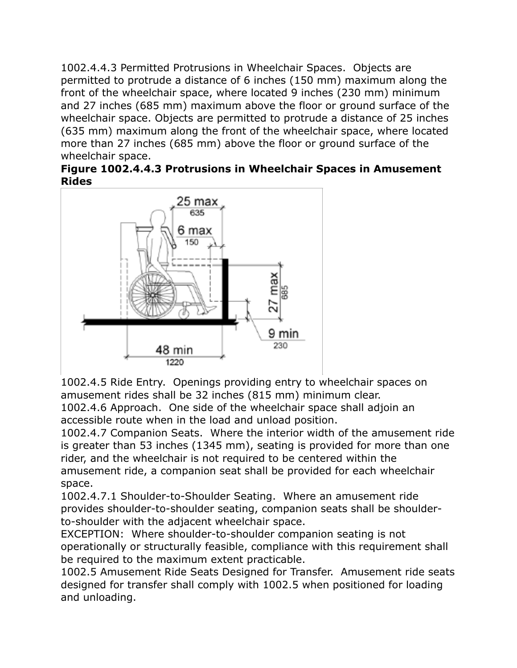1002.4.4.3 Permitted Protrusions in Wheelchair Spaces. Objects are permitted to protrude a distance of 6 inches (150 mm) maximum along the front of the wheelchair space, where located 9 inches (230 mm) minimum and 27 inches (685 mm) maximum above the floor or ground surface of the wheelchair space. Objects are permitted to protrude a distance of 25 inches (635 mm) maximum along the front of the wheelchair space, where located more than 27 inches (685 mm) above the floor or ground surface of the wheelchair space.

|              | Figure 1002.4.4.3 Protrusions in Wheelchair Spaces in Amusement |  |  |
|--------------|-----------------------------------------------------------------|--|--|
| <b>Rides</b> |                                                                 |  |  |



1002.4.5 Ride Entry. Openings providing entry to wheelchair spaces on amusement rides shall be 32 inches (815 mm) minimum clear.

1002.4.6 Approach. One side of the wheelchair space shall adjoin an accessible route when in the load and unload position.

1002.4.7 Companion Seats. Where the interior width of the amusement ride is greater than 53 inches (1345 mm), seating is provided for more than one rider, and the wheelchair is not required to be centered within the amusement ride, a companion seat shall be provided for each wheelchair space.

1002.4.7.1 Shoulder-to-Shoulder Seating. Where an amusement ride provides shoulder-to-shoulder seating, companion seats shall be shoulderto-shoulder with the adjacent wheelchair space.

EXCEPTION: Where shoulder-to-shoulder companion seating is not operationally or structurally feasible, compliance with this requirement shall be required to the maximum extent practicable.

1002.5 Amusement Ride Seats Designed for Transfer. Amusement ride seats designed for transfer shall comply with 1002.5 when positioned for loading and unloading.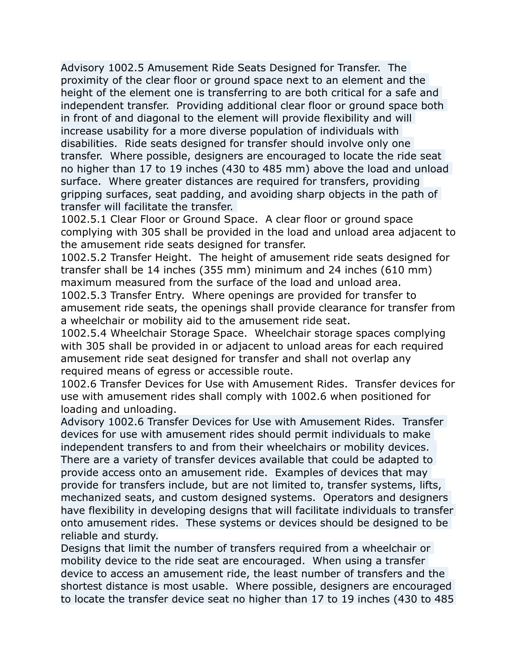Advisory 1002.5 Amusement Ride Seats Designed for Transfer. The proximity of the clear floor or ground space next to an element and the height of the element one is transferring to are both critical for a safe and independent transfer. Providing additional clear floor or ground space both in front of and diagonal to the element will provide flexibility and will increase usability for a more diverse population of individuals with disabilities. Ride seats designed for transfer should involve only one transfer. Where possible, designers are encouraged to locate the ride seat no higher than 17 to 19 inches (430 to 485 mm) above the load and unload surface. Where greater distances are required for transfers, providing gripping surfaces, seat padding, and avoiding sharp objects in the path of transfer will facilitate the transfer.

1002.5.1 Clear Floor or Ground Space. A clear floor or ground space complying with 305 shall be provided in the load and unload area adjacent to the amusement ride seats designed for transfer.

1002.5.2 Transfer Height. The height of amusement ride seats designed for transfer shall be 14 inches (355 mm) minimum and 24 inches (610 mm) maximum measured from the surface of the load and unload area.

1002.5.3 Transfer Entry. Where openings are provided for transfer to amusement ride seats, the openings shall provide clearance for transfer from a wheelchair or mobility aid to the amusement ride seat.

1002.5.4 Wheelchair Storage Space. Wheelchair storage spaces complying with 305 shall be provided in or adjacent to unload areas for each required amusement ride seat designed for transfer and shall not overlap any required means of egress or accessible route.

1002.6 Transfer Devices for Use with Amusement Rides. Transfer devices for use with amusement rides shall comply with 1002.6 when positioned for loading and unloading.

Advisory 1002.6 Transfer Devices for Use with Amusement Rides. Transfer devices for use with amusement rides should permit individuals to make independent transfers to and from their wheelchairs or mobility devices. There are a variety of transfer devices available that could be adapted to provide access onto an amusement ride. Examples of devices that may provide for transfers include, but are not limited to, transfer systems, lifts, mechanized seats, and custom designed systems. Operators and designers have flexibility in developing designs that will facilitate individuals to transfer onto amusement rides. These systems or devices should be designed to be reliable and sturdy.

Designs that limit the number of transfers required from a wheelchair or mobility device to the ride seat are encouraged. When using a transfer device to access an amusement ride, the least number of transfers and the shortest distance is most usable. Where possible, designers are encouraged to locate the transfer device seat no higher than 17 to 19 inches (430 to 485